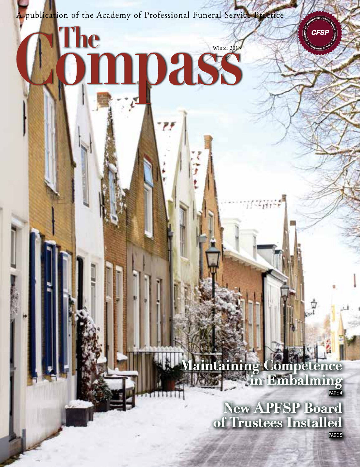A publication of the Academy of Professional Funeral Service Practice

The

Winter 2013

**CFSF** 

## **Maining Competence in Embalming** PAGE 4

**MARK** 

**New APFSP Board of Trustees Installed**

PAGE 5

APPEAR TO COMPASS 1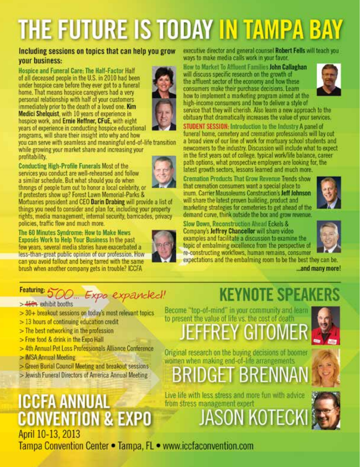# THE FUTURE IS TODAY IN TAMPA BAY

#### Including sessions on topics that can help you grow your business:

Hospice and Funeral Care: The Half-Factor Half of all deceased people in the U.S. in 2010 had been under hospice care before they ever got to a funeral home. That means hospice caregivers had a very personal relationship with half of your customers immediately prior to the death of a loved one. Kim Medici Shelquist, with 10 years of experience in hospice work, and Ernie Heffner, CFuE, with eight years of experience in conducting hospice educational programs, will share their insight into why and how



you can serve with seamless and meaningful end-of-life transition while growing your market share and increasing your profitability.

**Conducting High-Profile Funerals Most of the** services you conduct are well-rehearsed and follow a similar schedule. But what should you do when throngs of people turn out to honor a local celebrity, or if protesters show up? Forest Lawn Memorial-Parks &

Mortuaries president and CEO Darin Drabing will provide a list of things you need to consider and plan for, including your property rights, media management, internal security, barncades, privacy policies, traffic flow and much more.

The 60 Minutes Syndrome: How to Make News Exposés Work to Help Your Business In the past few years, several media stories have exacerbated a less-than-great public opinion of our profession. How can you avoid fallout and being tarred with the same brush when another company gets in trouble? ICCFA



executive director and general counsel Robert Fells will teach you ways to make media calls work in your favor.

How to Market To Affluent Families John Callaghan will discuss specific research on the growth of the affluent sector of the economy and how these consumers make their purchase decisions. Learn how to implement a marketing program aimed at the high-income consumers and how to deliver a style of



service that they will cherish. Also learn a new approach to the obituary that dramatically increases the value of your services.

STUDENT SESSION: Introduction to the Industry A panel of funeral home, cemetery and cremation professionals will lay out a broad view of our line of work for mortuary school students and newcomers to the industry. Discussion will include what to expect in the first years out of college, typical work/life balance, career path options, what prospective employers are looking for, the latest growth sectors, lessons learned and much more.

**Cremation Products That Grow Revenue Trends show** that cremation consumers want a special place to inum. Carrier Mausoleums Construction's Jeff Johnson will share the latest proven building, product and marketing strategies for cemeteries to get ahead of the demand curve, think outside the box and grow revenue.



Slow Down, Reconstruction Ahead Eckels & Company's Jeffrey Chancellor will share video examples and facilitate a discussion to examine the topic of embalming excellence from the perspective of re-constructing workflows, human remains, consumer

expectations and the embalming room to be the best they can be.



## ...and many more!

## Featuring 500. Expo expanded!

>4604 exhibit booths

- > 30+ breakout sessions on today's most relevant topics
- $>$  13 hours of continuing education credit
- $>$  The best networking in the profession
- > Free food & drink in the Expo Hall
- > 4th Annual Pet Loss Professionals Alliance Conference
- > IMSA Annual Meeting
- > Green Burial Council Meeting and breakout sessions
- > Jewish Funeral Directors of America Annual Meeting

## **ICCFA ANNUAL CONVENTION & EXPO** April 10-13, 2013

Tampa Convention Center . Tampa, FL . www.iccfaconvention.com

## **KEYNOTE SPEAKERS**

Become "top-of-mind" in your community and learn to present the value of life vs. the cost of death **EFFREY GITOMER** 



Original research on the buying decisions of boomer women when making end-of-life arrangements

## BRIDGET BRENNA

Live life with less stress and more fun with advice from stress management expert

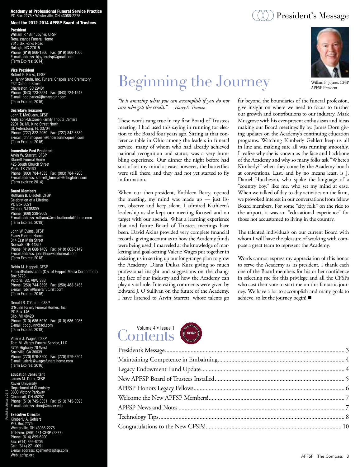#### **Academy of Professional Funeral Service Practice**<br>PO Box 2275 • Westerville, OH 43086-2275

#### Meet the 2012-2014 APFSP Board of Trustees

**President**

William P. "Bill" Joyner, CFSP Renaissance Funeral Home 7615 Six Forks Road Raleigh, NC 27615 Phone: (919) 866-1866 Fax: (919) 866-1606 E-mail address: bjoynercfsp@gmail.com (Term Expires: 2014)

**Vice President** Robert E. Parks, CFSP J. Henry Stuhr, Inc. Funeral Chapels and Crematory 232 Calhoun Street Charleston, SC 29401 Phone: (843) 723-2524 Fax: (843) 724-1548 E-mail: bob.parks@jhenrystuhr.com (Term Expires: 2016)

**Secretary/Treasurer** John T. McQueen, CFSP Anderson-McQueen Family Tribute Centers 2201 Dr. ML King Street North St. Petersburg, FL 33704 Phone: (727) 822-2059 Fax: (727) 342-6330 E-mail: john.mcqueen@andersonmcqueen.com (Term Expires: 2016)

**Immediate Past President** Arvin W. Starrett, CFSP Starrett Funeral Home 425 South Church Street Paris, TX 75460 Phone: (903) 784-4333 Fax: (903) 784-7200 E-mail address: starrett\_funerals@sbcglobal.com (Term expires: 2014)

#### **Board Members**

Ruthann B. Disotell, CFSP Celebration of a Lifetime PO Box 5021 Clinton, NJ 08809 Phone: (908) 238-9009 E-mail address: ruthann@celebrationofalifetime.com (Term Expires: 2018)

John W. Evans, CFSP Evans Funeral Home 314 East Main Street Norwalk, OH 44857 Phone: (419) 668-1469 Fax: (419) 663-6149 E-mail address: john@norwalkfuneral.com (Term Expires: 2018)

Robin M. Heppell, CFSP FuneralFuturist.com (Div. of Heppell Media Corporation) Box 8723 Victoria, BC, V8W 3S3 Phone: (250) 744-3595 Fax: (250) 483-5455 E-mail: robin@funeralfuturist.com (Term Expires: 2016)

Donald B. O'Guinn, CFSP O'Guinn Family Funeral Homes, Inc. PO Box 146 Clio, MI 48420 Phone: (810) 686-5070 Fax: (810) 686-2036 E-mail: dboguinn@aol.com (Term Expires: 2018)

Valerie J. Wages, CFSP Tom M. Wages Funeral Service, LLC 3705 Highway 78 West Snellville, GA 30039 Phone: (770) 979-3200 Fax: (770) 979-3204 E-mail: valerie@wagesfuneralhome.com (Term Expires: 2016)

#### **Education Consultant** James M. Dorn, CFSP

Xavier University Department of Chemistry 3800 Victory Parkway Cincinnati, OH 45207 Phone: (513) 745-3351 Fax: (513) 745-3695 E-mail address: dornj@xavier.edu

#### **Executive Director**

Published January 2013

Kimberly A. Gehlert P.O. Box 2275 Westerville, OH 43086-2275 Toll-Free: (866) 431-CFSP (2377) Phone: (614) 899-6200 Fax: (614) 899-6206 Cell: (614) 271-0091 E-mail address: kgehlert@apfsp.com Web: apfsp.org

## Beginning the Journey

*"It is amazing what you can accomplish if you do not care who gets the credit." — Harry S. Truman*

These words rang true in my first Board of Trustees meeting. I had used this saying in running for election to the Board four years ago. Sitting at that conference table in Ohio among the leaders in funeral service, many of whom who had already achieved national recognition and status, was a very humbling experience. Our dinner the night before had sort of set my mind at ease; however, the butterflies were still there, and they had not yet started to fly in formation.

When our then-president, Kathleen Berry, opened the meeting, my mind was made  $up$  — just listen, observe and keep silent. I admired Kathleen's leadership as she kept our meeting focused and on target with our agenda. What a learning experience that and future Board of Trustees meetings have been. David Akins provided very complete financial records, giving account as to how the Academy funds were being used. I marveled at the knowledge of marketing and goal-setting Valerie Wages put together in assisting us in setting up our long-range plan to grow the Academy. Diana Duksa Kurz giving so much professional insight and suggestions on the changing face of our industry and how the Academy can play a vital role. Interesting comments were given by Edward J. O'Sullivan on the future of the Academy. I have listened to Arvin Starrett, whose talents go



The talented individuals on our current Board with whom I will have the pleasure of working with compose a great team to represent the Academy.

Words cannot express my appreciation of this honor to serve the Academy as its president. I thank each one of the Board members for his or her confidence in selecting me for this privilege and all the CFSPs who cast their vote to start me on this fantastic journey. We have a lot to accomplish and many goals to achieve, so let the journey begin!



| erset |
|-------|
|       |
|       |

#### $\Diamond$  ) President's Message



William P. Joyner, CFSP APFSP President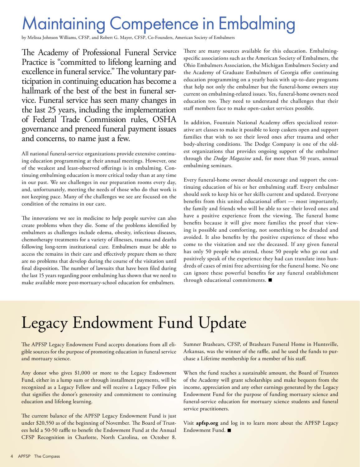## Maintaining Competence in Embalming

by Melissa Johnson Williams, CFSP, and Robert G. Mayer, CFSP, Co-Founders, American Society of Embalmers

The Academy of Professional Funeral Service Practice is "committed to lifelong learning and excellence in funeral service." The voluntary participation in continuing education has become a hallmark of the best of the best in funeral service. Funeral service has seen many changes in the last 25 years, including the implementation of Federal Trade Commission rules, OSHA governance and preneed funeral payment issues and concerns, to name just a few.

All national funeral-service organizations provide extensive continuing education programming at their annual meetings. However, one of the weakest and least-observed offerings is in embalming. Continuing embalming education is more critical today than at any time in our past. We see challenges in our preparation rooms every day, and, unfortunately, meeting the needs of those who do that work is not keeping pace. Many of the challenges we see are focused on the condition of the remains in our care.

The innovations we see in medicine to help people survive can also create problems when they die. Some of the problems identified by embalmers as challenges include edema, obesity, infectious diseases, chemotherapy treatments for a variety of illnesses, trauma and deaths following long-term institutional care. Embalmers must be able to access the remains in their care and effectively prepare them so there are no problems that develop during the course of the visitation until final disposition. The number of lawsuits that have been filed during the last 15 years regarding poor embalming has shown that we need to make available more post-mortuary-school education for embalmers.

There are many sources available for this education. Embalmingspecific associations such as the American Society of Embalmers, the Ohio Embalmers Association, the Michigan Embalmers Society and the Academy of Graduate Embalmers of Georgia offer continuing education programming on a yearly basis with up-to-date programs that help not only the embalmer but the funeral-home owners stay current on embalming-related issues. Yes, funeral-home owners need education too. They need to understand the challenges that their staff members face to make open-casket services possible.

In addition, Fountain National Academy offers specialized restorative art classes to make it possible to keep caskets open and support families that wish to see their loved ones after trauma and other body-altering conditions. The Dodge Company is one of the oldest organizations that provides ongoing support of the embalmer through the *Dodge Magazine* and, for more than 50 years, annual embalming seminars.

Every funeral-home owner should encourage and support the continuing education of his or her embalming staff. Every embalmer should seek to keep his or her skills current and updated. Everyone benefits from this united educational effort — most importantly, the family and friends who will be able to see their loved ones and have a positive experience from the viewing. The funeral home benefits because it will give more families the proof that viewing is possible and comforting, not something to be dreaded and avoided. It also benefits by the positive experience of those who come to the visitation and see the deceased. If any given funeral has only 50 people who attend, those 50 people who go out and positively speak of the experience they had can translate into hundreds of cases of mini free advertising for the funeral home. No one can ignore these powerful benefits for any funeral establishment through educational commitments.

## Legacy Endowment Fund Update

The APFSP Legacy Endowment Fund accepts donations from all eligible sources for the purpose of promoting education in funeral service and mortuary science.

Any donor who gives \$1,000 or more to the Legacy Endowment Fund, either in a lump sum or through installment payments, will be recognized as a Legacy Fellow and will receive a Legacy Fellow pin that signifies the donor's generosity and commitment to continuing education and lifelong learning.

The current balance of the APFSP Legacy Endowment Fund is just under \$20,550 as of the beginning of November. The Board of Trustees held a 50-50 raffle to benefit the Endowment Fund at the Annual CFSP Recognition in Charlotte, North Carolina, on October 8.

Sumner Brashears, CFSP, of Brashears Funeral Home in Huntsville, Arkansas, was the winner of the raffle, and he used the funds to purchase a Lifetime membership for a member of his staff.

When the fund reaches a sustainable amount, the Board of Trustees of the Academy will grant scholarships and make bequests from the income, appreciation and any other earnings generated by the Legacy Endowment Fund for the purpose of funding mortuary science and funeral-service education for mortuary science students and funeral service practitioners.

Visit **apfsp.org** and log in to learn more about the APFSP Legacy Endowment Fund.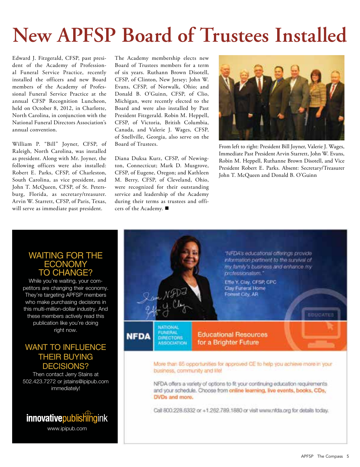## **New APFSP Board of Trustees Installed**

Edward J. Fitzgerald, CFSP, past president of the Academy of Professional Funeral Service Practice, recently installed the officers and new Board members of the Academy of Professional Funeral Service Practice at the annual CFSP Recognition Luncheon, held on October 8, 2012, in Charlotte, North Carolina, in conjunction with the National Funeral Directors Association's annual convention.

William P. "Bill" Joyner, CFSP, of Raleigh, North Carolina, was installed as president. Along with Mr. Joyner, the following officers were also installed: Robert E. Parks, CFSP, of Charleston, South Carolina, as vice president, and John T. McQueen, CFSP, of St. Petersburg, Florida, as secretary/treasurer. Arvin W. Starrett, CFSP, of Paris, Texas, will serve as immediate past president.

The Academy membership elects new Board of Trustees members for a term of six years. Ruthann Brown Disotell, CFSP, of Clinton, New Jersey; John W. Evans, CFSP, of Norwalk, Ohio; and Donald B. O'Guinn, CFSP, of Clio, Michigan, were recently elected to the Board and were also installed by Past President Fitzgerald. Robin M. Heppell, CFSP, of Victoria, British Columbia, Canada, and Valerie J. Wages, CFSP, of Snellville, Georgia, also serve on the Board of Trustees.

Diana Duksa Kurz, CFSP, of Newington, Connecticut; Mark D. Musgrove, CFSP, of Eugene, Oregon; and Kathleen M. Berry, CFSP, of Cleveland, Ohio, were recognized for their outstanding service and leadership of the Academy during their terms as trustees and officers of the Academy.



From left to right: President Bill Joyner, Valerie J. Wages, Immediate Past President Arvin Starrett, John W. Evans, Robin M. Heppell, Ruthanne Brown Disotell, and Vice President Robert E. Parks. Absent: Secretary/Treasurer John T. McQueen and Donald B. O'Guinn

#### WAITING FOR THE **ECONOMY** TO CHANGE?

While you're waiting, your competitors are changing their economy. They're targeting APFSP members who make purchasing decisions in this multi-million-dollar industry. And these members actively read this publication like you're doing right now.

#### WANT TO INFLUENCE THEIR BUYING DECISIONS?

Then contact Jerry Stains at 502.423.7272 or jstains@ipipub.com immediately!

### **innovative** publishing in k www.ipipub.com

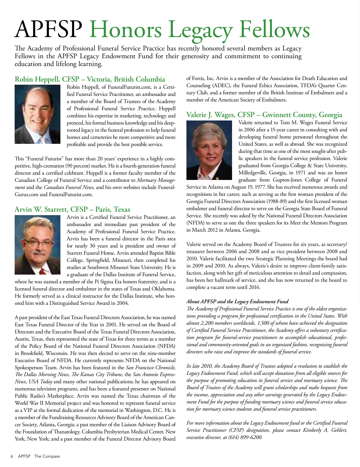# APFSP Honors Legacy Fellows

The Academy of Professional Funeral Service Practice has recently honored several members as Legacy Fellows in the APFSP Legacy Endowment Fund for their generosity and commitment to continuing education and lifelong learning.

#### **Robin Heppell, CFSP – Victoria, British Columbia**



Robin Heppell, of FuneralFuturist.com, is a Certified Funeral Service Practitioner, an ambassador and a member of the Board of Trustees of the Academy of Professional Funeral Service Practice. Heppell combines his expertise in marketing, technology and preneed, his formal business knowledge and his deeprooted legacy in the funeral profession to help funeral homes and cemeteries be more competitive and more profitable and provide the best possible service.

This "Funeral Futurist" has more than 20 years' experience in a highly competitive, high-cremation (90 percent) market. He is a fourth-generation funeral director and a certified celebrant. Heppell is a former faculty member of the Canadian College of Funeral Service and a contributor to *Mortuary Management* and the *Canadian Funeral News*, and his own websites include Funeral-Gurus.com and FuneralFuturist.com.

#### **Arvin W. Starrett, CFSP – Paris, Texas**



Arvin is a Certified Funeral Service Practitioner, an ambassador and immediate past president of the Academy of Professional Funeral Service Practice. Arvin has been a funeral director in the Paris area for nearly 30 years and is president and owner of Starrett Funeral Home. Arvin attended Baptist Bible College, Springfield, Missouri, then completed his studies at Southwest Missouri State University. He is a graduate of the Dallas Institute of Funeral Service,

where he was named a member of the Pi Sigma Eta honors fraternity, and is a licensed funeral director and embalmer in the states of Texas and Oklahoma. He formerly served as a clinical instructor for the Dallas Institute, who honored him with a Distinguished Service Award in 2004.

A past president of the East Texas Funeral Directors Association, he was named East Texas Funeral Director of the Year in 2001. He served on the Board of Directors and the Executive Board of the Texas Funeral Directors Association, Austin, Texas, then represented the state of Texas for three terms as a member of the Policy Board of the National Funeral Directors Association (NFDA) in Brookfield, Wisconsin. He was then elected to serve on the nine-member Executive Board of NFDA. He currently represents NFDA on the National Spokesperson Team. Arvin has been featured in the *San Francisco Chronicle*, *The Dallas Morning News*, *The Kansas City Tribune*, the *San Antonio Express-News*, *USA Today* and many other national publications; he has appeared on numerous television programs, and has been a featured presenter on National Public Radio's Marketplace. Arvin was named the Texas chairman of the World War II Memorial project and was honored to represent funeral service as a VIP at the formal dedication of the memorial in Washington, D.C. He is a member of the Fundraising Resources Advisory Board of the American Cancer Society, Atlanta, Georgia; a past member of the Liaison Advisory Board of the Foundation of Thanatology, Columbia Presbyterian Medical Center, New York, New York; and a past member of the Funeral Director Advisory Board of Fortis, Inc. Arvin is a member of the Association for Death Education and Counseling (ADEC), the Funeral Ethics Association, TFDA's Quarter Century Club, and a former member of the British Institute of Embalmers and a member of the American Society of Embalmers.

#### **Valerie J. Wages, CFSP – Gwinnett County, Georgia**



Valerie returned to Tom M. Wages Funeral Service in 2006 after a 15-year career in consulting with and developing funeral home personnel throughout the United States, as well as abroad. She was recognized during that time as one of the most sought-after public speakers in the funeral service profession. Valerie graduated from Georgia College & State University, Milledgeville, Georgia, in 1971 and was an honor graduate from Gupton-Jones College of Funeral

Service in Atlanta on August 19, 1977. She has received numerous awards and recognitions in her career, such as serving as the first woman president of the Georgia Funeral Directors Association (1988-89) and the first licensed woman embalmer and funeral director to serve on the Georgia State Board of Funeral Service. She recently was asked by the National Funeral Directors Association (NFDA) to serve as one the three speakers for its Meet the Mentors Program in March 2012 in Atlanta, Georgia.

Valerie served on the Academy Board of Trustees for six years, as secretary/ treasurer between 2006 and 2008 and as vice president between 2008 and 2010. Valerie facilitated the two Strategic Planning Meetings the board had in 2009 and 2010. As always, Valerie's desire to improve client-family satisfaction, along with her gift of meticulous attention to detail and compassion, has been her hallmark of service, and she has now returned to the board to complete a vacant term until 2016.

#### *About APFSP and the Legacy Endowment Fund*

*The Academy of Professional Funeral Service Practice is one of the oldest organizations providing a program for professional certification in the United States. With almost 2,200 members worldwide, 1,500 of whom have achieved the designation of Certified Funeral Service Practitioner, the Academy offers a voluntary certification program for funeral-service practitioners to accomplish educational, professional and community-oriented goals in an organized fashion, recognizing funeral directors who raise and improve the standards of funeral service.*

*In late 2010, the Academy Board of Trustees adopted a resolution to establish the Legacy Endowment Fund, which will accept donations from all eligible sources for the purpose of promoting education in funeral service and mortuary science. The Board of Trustees of the Academy will grant scholarships and make bequests from the income, appreciation and any other earnings generated by the Legacy Endowment Fund for the purpose of funding mortuary science and funeral service education for mortuary science students and funeral service practitioners.*

*For more information about the Legacy Endowment fund or the Certified Funeral Service Practitioner (CFSP) designation, please contact Kimberly A. Gehlert, executive director, at (614) 899-6200.*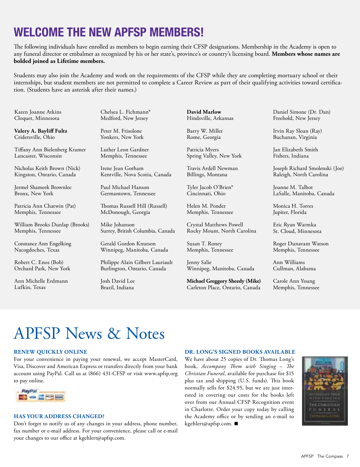## **Welcome the New APFSP Members!**

The following individuals have enrolled as members to begin earning their CFSP designations. Membership in the Academy is open to any funeral director or embalmer as recognized by his or her state's, province's or country's licensing board. **Members whose names are bolded joined as Lifetime members.**

Students may also join the Academy and work on the requirements of the CFSP while they are completing mortuary school or their internships, but student members are not permitted to complete a Career Review as part of their qualifying activities toward certification. (Students have an asterisk after their names.)

Karen Joanne Atkins Cloquet, Minnesota

**Valery A. Bayliff Fultz** Cridersville, Ohio

Tiffany Ann Bielenberg Kramer Lancaster, Wisconsin

Nicholas Keith Brown (Nick) Kingston, Ontario, Canada

Jermel Shameek Brownlee Bronx, New York

Patricia Ann Chatwin (Pat) Memphis, Tennessee

William Brooks Dunlap (Brooks) Memphis, Tennessee

Constance Ann Engelking Nacogdoches, Texas

Robert C. Enos (Bob) Orchard Park, New York

Ann Michelle Erdmann Lufkin, Texas

Chelsea L. Fichmann\* Medford, New Jersey

Peter M. Frisolone Yonkers, New York

Luther Leon Gardner Memphis, Tennessee

Irene Jean Gorham Kentville, Nova Scotia, Canada

Paul Michael Hanson Germantown, Tennessee

Thomas Russell Hill (Russell) McDonough, Georgia

Mike Johanson Surrey, British Columbia, Canada

Gerald Gordon Knutson Winnipeg, Manitoba, Canada

Philippe Alain Gilbert Lauriault Burlington, Ontario, Canada

Josh David Lee Brazil, Indiana

**David Marlow** Hindsville, Arkansas

Barry W. Miller Rome, Georgia

Patricia Myers Spring Valley, New York

Travis Ardell Newman Billings, Montana

Tyler Jacob O'Brien\* Cincinnati, Ohio

Helen M. Ponder Memphis, Tennessee

Crystal Matthews Powell Rocky Mount, North Carolina

Susan T. Roney Memphis, Tennessee

Jenny Salie Winnipeg, Manitoba, Canada

**Michael Greggory Sheedy (Mike)** Carleton Place, Ontario, Canada Daniel Simone (Dr. Dan) Freehold, New Jersey

Irvin Ray Sloan (Ray) Buchanan, Virginia

Jan Elizabeth Smith Fishers, Indiana

Joseph Richard Smolenski (Joe) Raleigh, North Carolina

Joanne M. Talbot LaSalle, Manitoba, Canada

Monica H. Torres Jupiter, Florida

Eric Ryan Warmka St. Cloud, Minnesota

Roger Dunavant Watson Memphis, Tennessee

Ann Williams Cullman, Alabama

Carole Ann Young Memphis, Tennessee

## APFSP News & Notes

#### **Renew Quickly Online**

For your convenience in paying your renewal, we accept MasterCard, Visa, Discover and American Express or transfers directly from your bank account using PayPal. Call us at (866) 431-CFSP or visit www.apfsp.org to pay online.



#### **Has Your Address Changed?**

Don't forget to notify us of any changes in your address, phone number, fax number or e-mail address. For your convenience, please call or e-mail your changes to our office at kgehlert@apfsp.com.

#### **Dr. Long's Signed Books Available**

We have about 25 copies of Dr. Thomas Long's book, *Accompany Them with Singing – The Christian Funeral*, available for purchase for \$15 plus tax and shipping (U.S. funds). This book normally sells for \$24.95, but we are just interested in covering our costs for the books left over from our Annual CFSP Recognition event in Charlotte. Order your copy today by calling the Academy office or by sending an e-mail to kgehlert@apfsp.com.

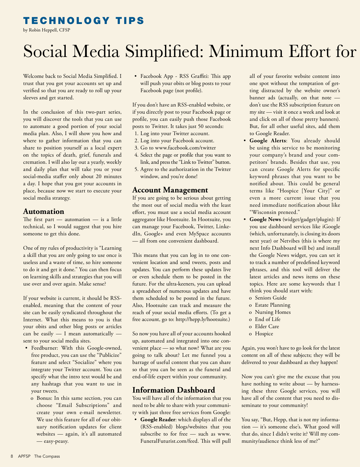#### Technology Tips

by Robin Heppell, CFSP

## Social Media Simplified: Minimum Effort for

Welcome back to Social Media Simplified. I trust that you got your accounts set up and verified so that you are ready to roll up your sleeves and get started.

In the conclusion of this two-part series, you will discover the tools that you can use to automate a good portion of your social media plan. Also, I will show you how and where to gather information that you can share to position yourself as a local expert on the topics of death, grief, funerals and cremation. I will also lay out a yearly, weekly and daily plan that will take you or your social-media staffer only about 20 minutes a day. I hope that you got your accounts in place, because now we start to execute your social media strategy.

#### **Automation**

The first part — automation — is a little technical, so I would suggest that you hire someone to get this done.

One of my rules of productivity is "Learning a skill that you are only going to use once is useless and a waste of time, so hire someone to do it and get it done." You can then focus on learning skills and strategies that you will use over and over again. Make sense?

If your website is current, it should be RSSenabled, meaning that the content of your site can be easily syndicated throughout the Internet. What this means to you is that your obits and other blog posts or articles can be easily — I mean automatically sent to your social media sites.

- Feedburner: With this Google-owned, free product, you can use the "Publicize" feature and select "Socialize" where you integrate your Twitter account. You can specify what the intro text would be and any hashtags that you want to use in your tweets.
	- o Bonus: In this same section, you can choose "Email Subscriptions" and create your own e-mail newsletter. We use this feature for all of our obituary notification updates for client websites — again, it's all automated — easy-peasy.

• Facebook App - RSS Graffiti: This app will push your obits or blog posts to your Facebook page (not profile).

If you don't have an RSS-enabled website, or if you directly post to your Facebook page or profile, you can easily push those Facebook posts to Twitter. It takes just 50 seconds:

- 1. Log into your Twitter account.
- 2. Log into your Facebook account.
- 3. Go to www.facebook.com/twitter
- 4. Select the page or profile that you want to link, and press the "Link to Twitter" button.
- 5. Agree to the authorization in the Twitter window, and you're done!

#### **Account Management**

If you are going to be serious about getting the most out of social media with the least effort, you must use a social media account aggregator like Hootsuite. In Hootsuite, you can manage your Facebook, Twitter, LinkedIn, Google+ and even MySpace accounts — all from one convenient dashboard.

This means that you can log in to one convenient location and send tweets, posts and updates. You can perform these updates live or even schedule them to be posted in the future. For the ultra-keeners, you can upload a spreadsheet of numerous updates and have them scheduled to be posted in the future. Also, Hootsuite can track and measure the reach of your social media efforts. (To get a free account, go to: http://hepp.ly/hootsuite.)

So now you have all of your accounts hooked up, automated and integrated into one convenient place — so what now? What are you going to talk about? Let me funnel you a barrage of useful content that you can share so that you can be seen as the funeral and end-of-life expert within your community.

#### **Information Dashboard**

You will have all of the information that you need to be able to share with your community with just three free services from Google:

• **Google Reader**: which displays all of the (RSS-enabled) blogs/websites that you subscribe to for free — such as www. FuneralFuturist.com/feed. This will pull

all of your favorite website content into one spot without the temptation of getting distracted by the website owner's banner ads (actually, on that note don't use the RSS subscription feature on my site — visit it once a week and look at and click on all of those pretty banners). But, for all other useful sites, add them to Google Reader.

- • **Google Alerts**: You already should be using this service to be monitoring your company's brand and your competitors' brands. Besides that use, you can create Google Alerts for specific keyword phrases that you want to be notified about. This could be general terms like "Hospice [Your City]" or even a more current issue that you need immediate notification about like "Wisconsin preneed."
- • **Google News** (widget/gadget/plugin): If you use dashboard services like iGoogle (which, unfortunately, is closing its doors next year) or Netvibes (this is where my next Info Dashboard will be) and install the Google News widget, you can set it to track a number of predefined keyword phrases, and this tool will deliver the latest articles and news items on these topics. Here are some keywords that I think you should start with:
	- o Seniors Guide
	- o Estate Planning
	- o Nursing Homes
	- o End of Life
	- o Elder Care
	- o Hospice

Again, you won't have to go look for the latest content on all of these subjects; they will be delivered to your dashboard as they happen!

Now you can't give me the excuse that you have nothing to write about — by harnessing these three Google services, you will have all of the content that you need to disseminate to your community!

You say, "But, Hepp, that is not my information — it's someone else's. What good will that do, since I didn't write it? Will my community/audience think less of me?"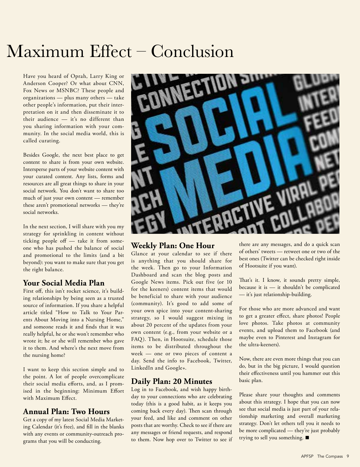## $Maximum$   $Effect - Conclusion$

Have you heard of Oprah, Larry King or Anderson Cooper? Or what about CNN, Fox News or MSNBC? These people and organizations — plus many others — take other people's information, put their interpretation on it and then disseminate it to their audience — it's no different than you sharing information with your community. In the social media world, this is called curating.

Besides Google, the next best place to get content to share is from your own website. Intersperse parts of your website content with your curated content. Any lists, forms and resources are all great things to share in your social network. You don't want to share too much of just your own content — remember these aren't promotional networks — they're social networks.

In the next section, I will share with you my strategy for sprinkling in content without ticking people off — take it from someone who has pushed the balance of social and promotional to the limits (and a bit beyond): you want to make sure that you get the right balance.

#### **Your Social Media Plan**

First off, this isn't rocket science, it's building relationships by being seen as a trusted source of information. If you share a helpful article titled "How to Talk to Your Parents About Moving into a Nursing Home," and someone reads it and finds that it was really helpful, he or she won't remember who wrote it; he or she will remember who gave it to them. And where's the next move from the nursing home?

I want to keep this section simple and to the point. A lot of people overcomplicate their social media efforts, and, as I promised in the beginning: Minimum Effort with Maximum Effect.

#### **Annual Plan: Two Hours**

Get a copy of my latest Social Media Marketing Calendar (it's free), and fill in the blanks with any events or community-outreach programs that you will be conducting.



#### **Weekly Plan: One Hour**

Glance at your calendar to see if there is anything that you should share for the week. Then go to your Information Dashboard and scan the blog posts and Google News items. Pick out five (or 10 for the keeners) content items that would be beneficial to share with your audience (community). It's good to add some of your own spice into your content-sharing strategy, so I would suggest mixing in about 20 percent of the updates from your own content (e.g., from your website or a FAQ). Then, in Hootsuite, schedule those items to be distributed throughout the week — one or two pieces of content a day. Send the info to Facebook, Twitter, LinkedIn and Google+.

#### **Daily Plan: 20 Minutes**

Log in to Facebook, and wish happy birthday to your connections who are celebrating today (this is a good habit, as it keeps you coming back every day). Then scan through your feed, and like and comment on other posts that are worthy. Check to see if there are any messages or friend requests, and respond to them. Now hop over to Twitter to see if

there are any messages, and do a quick scan of others' tweets — retweet one or two of the best ones (Twitter can be checked right inside of Hootsuite if you want).

That's it. I know, it sounds pretty simple, because it is — it shouldn't be complicated — it's just relationship-building.

For those who are more advanced and want to get a greater effect, share photos! People love photos. Take photos at community events, and upload them to Facebook (and maybe even to Pinterest and Instagram for the ultra-keeners).

Now, there are even more things that you can do, but in the big picture, I would question their effectiveness until you hammer out this basic plan.

Please share your thoughts and comments about this strategy. I hope that you can now see that social media is just part of your relationship marketing and overall marketing strategy. Don't let others tell you it needs to be more complicated — they're just probably trying to sell you something.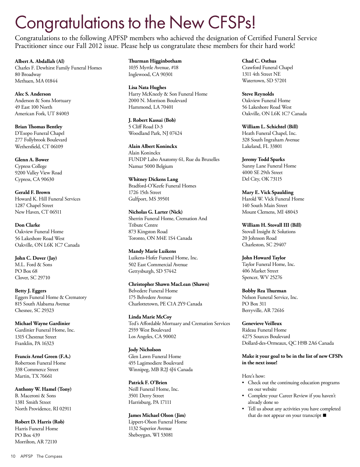## Congratulations to the New CFSPs!

Congratulations to the following APFSP members who achieved the designation of Certified Funeral Service Practitioner since our Fall 2012 issue. Please help us congratulate these members for their hard work!

**Albert A. Abdallah (Al)** Charles F. Dewhirst Family Funeral Homes 80 Broadway Methuen, MA 01844

**Alec S. Anderson** Anderson & Sons Mortuary 49 East 100 North American Fork, UT 84003

**Brian Thomas Bentley** D'Esopo Funeral Chapel 277 Follybrook Boulevard Wethersfield, CT 06109

**Glenn A. Bower** Cypress College 9200 Valley View Road Cypress, CA 90630

**Gerald F. Brown** Howard K. Hill Funeral Services 1287 Chapel Street New Haven, CT 06511

**Don Clarke** Oakview Funeral Home 56 Lakeshore Road West Oakville, ON L6K 1C7 Canada

**John C. Dover (Jay)** M.L. Ford & Sons PO Box 68 Clover, SC 29710

**Betty J. Eggers** Eggers Funeral Home & Crematory 815 South Alabama Avenue Chesnee, SC 29323

**Michael Wayne Gardinier** Gardinier Funeral Home, Inc. 1315 Chestnut Street Franklin, PA 16323

**Francis Arnel Green (F.A.)** Robertson Funeral Home 338 Commerce Street Martin, TX 76661

**Anthony W. Hamel (Tony)** B. Maceroni & Sons 1381 Smith Street North Providence, RI 02911

**Robert D. Harris (Rob)** Harris Funeral Home PO Box 439 Morrilton, AR 72110

**Thurman Higginbotham** 1035 Myrtle Avenue, #18 Inglewood, CA 90301

**Lisa Nata Hughes** Harry McKneely & Son Funeral Home 2000 N. Morrison Boulevard Hammond, LA 70401

**J. Robert Kassai (Bob)** 5 Cliff Road D-3 Woodland Park, NJ 07424

**Alain Albert Koninckx** Alain Koninckx FUNDP Labo Anatomy 61, Rue du Bruxelles Namur 5000 Belgium

**Whitney Dickens Lang** Bradford-O'Keefe Funeral Homes 1726 15th Street Gulfport, MS 39501

**Nicholas G. Larter (Nick)** Sherrin Funeral Home, Cremation And Tribute Centre 873 Kingston Road Toronto, ON M4E 1S4 Canada

**Mandy Marie Luikens** Luikens-Hofer Funeral Home, Inc. 502 East Commercial Avenue Gettysburgh, SD 57442

**Christopher Shawn MacLean (Shawn)** Belvedere Funeral Home 175 Belvedere Avenue Charlottetown, PE C1A 2Y9 Canada

**Linda Marie McCoy** Ted's Affordable Mortuary and Cremation Services 2559 West Boulevard Los Angeles, CA 90002

**Jody Nicholson** Glen Lawn Funeral Home 455 Lagimodiere Boulevard Winnipeg, MB R2J 4J4 Canada

**Patrick F. O'Brien** Neill Funeral Home, Inc. 3501 Derry Street Harrisburg, PA 17111

**James Michael Olson (Jim)** Lippert-Olson Funeral Home 1132 Superior Avenue Sheboygan, WI 53081

**Chad C. Osthus** Crawford Funeral Chapel 1311 4th Street NE Watertown, SD 57201

**Steve Reynolds** Oakview Funeral Home 56 Lakeshore Road West Oakville, ON L6K 1C7 Canada

**William L. Schichtel (Bill)** Heath Funeral Chapel, Inc. 328 South Ingraham Avenue Lakeland, FL 33801

**Jeremy Todd Sparks** Sunny Lane Funeral Home 4000 SE 29th Street Del City, OK 73115

**Mary E. Vick Spaulding** Harold W. Vick Funeral Home 140 South Main Street Mount Clemens, MI 48043

**William H. Stovall III (Bill)** Stovall Insight & Solutions 20 Johnson Road Charleston, SC 29407

**John Howard Taylor** Taylor Funeral Home, Inc. 406 Market Street Spencer, WV 25276

**Bobby Rea Thurman** Nelson Funeral Service, Inc. PO Box 311 Berryville, AR 72616

**Genevieve Veilleux** Rideau Funeral Home 4275 Sources Boulevard Dollard-des-Ormeaux, QC H9B 2A6 Canada

#### **Make it your goal to be in the list of new CFSPs in the next issue!**

Here's how:

- • Check out the continuing education programs on our website
- • Complete your Career Review if you haven't already done so
- • Tell us about any activities you have completed that do not appear on your transcript  $\blacksquare$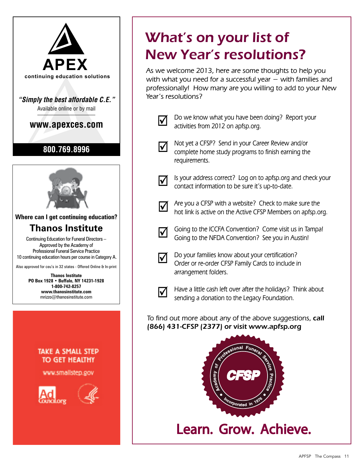

## What's on your list of New Year's resolutions?

 **continuing education solutions** with what you need for a successful year − with families and As we welcome 2013, here are some thoughts to help you professionally! How many are you willing to add to your New Year's resolutions?



**with the UP 100 We know what you have been doing? Report your** activities from 2012 on apfsp.org.



Not yet a CFSP? Send in your Career Review and/or complete home study programs to finish earning the requirements.



 $\Delta$ 

Is your address correct? Log on to apfsp.org and check your contact information to be sure it's up-to-date.

Are you a CFSP with a website? Check to make sure the hot link is active on the Active CFSP Members on apfsp.org.



Going to the ICCFA Convention? Come visit us in Tampa! Going to the NFDA Convention? See you in Austin!



Do your families know about your certification? Order or re-order CFSP Family Cards to include in arrangement folders.



Have a little cash left over after the holidays? Think about sending a donation to the Legacy Foundation.

To find out more about any of the above suggestions, call (866) 431-CFSP (2377) or visit www.apfsp.org



Learn. Grow. Achieve.